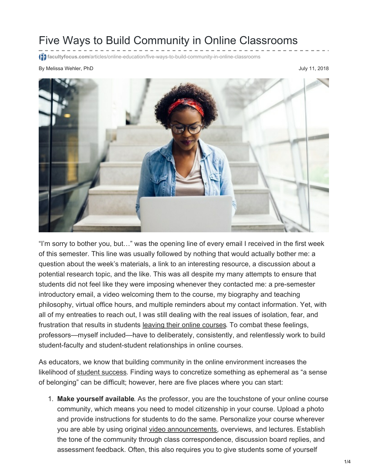## Five Ways to Build Community in Online Classrooms

facultyfocus.com/articles/online-education/five-ways-to-build-community-in-

By Melissa Wehler, PhD 300 UU 2018



"I'm sorry to bother you, but…" was the opening line of every email I received in the first week of this semester. This line was usually followed by nothing that would actually bother me: a question about the week's materials, a link to an interesting resource, a discussion about a potential research topic, and the like. This was all despite my many attempts to ensure that students did not feel like they were imposing whenever they contacted me: a pre-semester introductory email, a video welcoming them to the course, my biography and teaching philosophy, virtual office hours, and multiple reminders about my contact information. Yet, with all of my entreaties to reach out, I was still dealing with the real issues of isolation, fear, and frustration that results in students leaving their online [courses](http://journals.sagepub.com/doi/pdf/10.1177/2158244015621777). To combat these feelings, professors—myself included—have to deliberately, consistently, and relentlessly work to build student-faculty and student-student relationships in online courses.

As educators, we know that building community in the online environment increases the likelihood of student [success](http://www.aaace.org/news/272788/Building-Community-in-Online-Courses.htm). Finding ways to concretize something as ephemeral as "a sense of belonging" can be difficult; however, here are five places where you can start:

1. **Make yourself available**. As the professor, you are the touchstone of your online course community, which means you need to model citizenship in your course. Upload a photo and provide instructions for students to do the same. Personalize your course wherever you are able by using original video [announcements](https://www.facultyfocus.com/articles/online-education/building-community-creating-relevance-online-classroom/), overviews, and lectures. Establish the tone of the community through class correspondence, discussion board replies, and assessment feedback. Often, this also requires you to give students some of yourself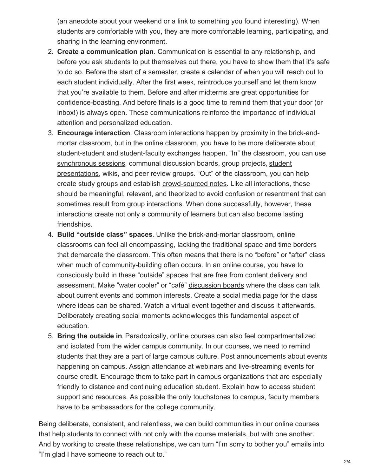(an anecdote about your weekend or a link to something you found interesting). When students are comfortable with you, they are more comfortable learning, participating, and sharing in the learning environment.

- 2. **Create a communication plan**. Communication is essential to any relationship, and before you ask students to put themselves out there, you have to show them that it's safe to do so. Before the start of a semester, create a calendar of when you will reach out to each student individually. After the first week, reintroduce yourself and let them know that you're available to them. Before and after midterms are great opportunities for confidence-boasting. And before finals is a good time to remind them that your door (or inbox!) is always open. These communications reinforce the importance of individual attention and personalized education.
- 3. **Encourage interaction**. Classroom interactions happen by proximity in the brick-andmortar classroom, but in the online classroom, you have to be more deliberate about student-student and student-faculty exchanges happen. "In" the classroom, you can use [synchronous](https://www.insidehighered.com/digital-learning/article/2017/07/26/ideas-building-online-community) sessions, communal discussion boards, group projects, student [presentations,](https://www.chronicle.com/blogs/wiredcampus/how-student-video-presentations-can-build-community-in-an-online-course/57435) wikis, and peer review groups. "Out" of the classroom, you can help create study groups and establish [crowd-sourced](https://www.chronicle.com/blogs/profhacker/use-googledocs-for-crowd-sourced-notes/31644) notes. Like all interactions, these should be meaningful, relevant, and theorized to avoid confusion or resentment that can sometimes result from group interactions. When done successfully, however, these interactions create not only a community of learners but can also become lasting friendships.
- 4. **Build "outside class" spaces**. Unlike the brick-and-mortar classroom, online classrooms can feel all encompassing, lacking the traditional space and time borders that demarcate the classroom. This often means that there is no "before" or "after" class when much of community-building often occurs. In an online course, you have to consciously build in these "outside" spaces that are free from content delivery and assessment. Make "water cooler" or "café" [discussion](http://blog.online.colostate.edu/blog/online-education/the-importance-of-building-online-learning-communities/) boards where the class can talk about current events and common interests. Create a social media page for the class where ideas can be shared. Watch a virtual event together and discuss it afterwards. Deliberately creating social moments acknowledges this fundamental aspect of education.
- 5. **Bring the outside in**. Paradoxically, online courses can also feel compartmentalized and isolated from the wider campus community. In our courses, we need to remind students that they are a part of large campus culture. Post announcements about events happening on campus. Assign attendance at webinars and live-streaming events for course credit. Encourage them to take part in campus organizations that are especially friendly to distance and continuing education student. Explain how to access student support and resources. As possible the only touchstones to campus, faculty members have to be ambassadors for the college community.

Being deliberate, consistent, and relentless, we can build communities in our online courses that help students to connect with not only with the course materials, but with one another. And by working to create these relationships, we can turn "I'm sorry to bother you" emails into "I'm glad I have someone to reach out to."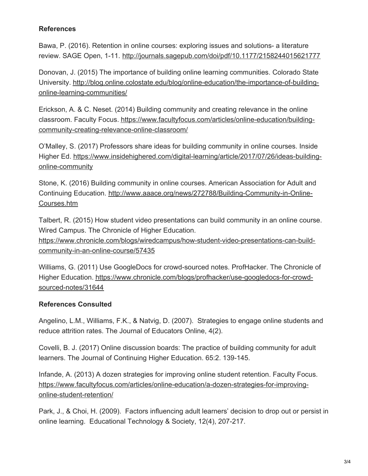## **References**

Bawa, P. (2016). Retention in online courses: exploring issues and solutions- a literature review. SAGE Open, 1-11. <http://journals.sagepub.com/doi/pdf/10.1177/2158244015621777>

Donovan, J. (2015) The importance of building online learning communities. Colorado State University. [http://blog.online.colostate.edu/blog/online-education/the-importance-of-building](http://blog.online.colostate.edu/blog/online-education/the-importance-of-building-online-learning-communities/)online-learning-communities/

Erickson, A. & C. Neset. (2014) Building community and creating relevance in the online classroom. Faculty Focus. [https://www.facultyfocus.com/articles/online-education/building](https://www.facultyfocus.com/articles/online-education/building-community-creating-relevance-online-classroom/)community-creating-relevance-online-classroom/

O'Malley, S. (2017) Professors share ideas for building community in online courses. Inside Higher Ed. [https://www.insidehighered.com/digital-learning/article/2017/07/26/ideas-building](https://www.insidehighered.com/digital-learning/article/2017/07/26/ideas-building-online-community)online-community

Stone, K. (2016) Building community in online courses. American Association for Adult and Continuing Education. [http://www.aaace.org/news/272788/Building-Community-in-Online-](http://www.aaace.org/news/272788/Building-Community-in-Online-Courses.htm)Courses.htm

Talbert, R. (2015) How student video presentations can build community in an online course. Wired Campus. The Chronicle of Higher Education.

[https://www.chronicle.com/blogs/wiredcampus/how-student-video-presentations-can-build](https://www.chronicle.com/blogs/wiredcampus/how-student-video-presentations-can-build-community-in-an-online-course/57435)community-in-an-online-course/57435

Williams, G. (2011) Use GoogleDocs for crowd-sourced notes. ProfHacker. The Chronicle of Higher Education. [https://www.chronicle.com/blogs/profhacker/use-googledocs-for-crowd](https://www.chronicle.com/blogs/profhacker/use-googledocs-for-crowd-sourced-notes/31644)sourced-notes/31644

## **References Consulted**

Angelino, L.M., Williams, F.K., & Natvig, D. (2007). Strategies to engage online students and reduce attrition rates. The Journal of Educators Online, 4(2).

Covelli, B. J. (2017) Online discussion boards: The practice of building community for adult learners. The Journal of Continuing Higher Education. 65:2. 139-145.

Infande, A. (2013) A dozen strategies for improving online student retention. Faculty Focus. [https://www.facultyfocus.com/articles/online-education/a-dozen-strategies-for-improving](https://www.facultyfocus.com/articles/online-education/a-dozen-strategies-for-improving-online-student-retention/)online-student-retention/

Park, J., & Choi, H. (2009). Factors influencing adult learners' decision to drop out or persist in online learning. Educational Technology & Society, 12(4), 207-217.